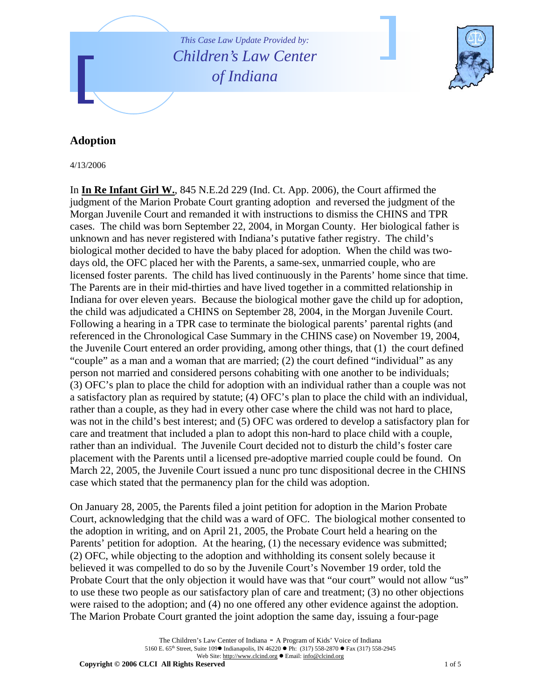

## **Adoption**

4/13/2006

In **In Re Infant Girl W.**, 845 N.E.2d 229 (Ind. Ct. App. 2006), the Court affirmed the judgment of the Marion Probate Court granting adoption and reversed the judgment of the Morgan Juvenile Court and remanded it with instructions to dismiss the CHINS and TPR cases. The child was born September 22, 2004, in Morgan County. Her biological father is unknown and has never registered with Indiana's putative father registry. The child's biological mother decided to have the baby placed for adoption. When the child was twodays old, the OFC placed her with the Parents, a same-sex, unmarried couple, who are licensed foster parents. The child has lived continuously in the Parents' home since that time. The Parents are in their mid-thirties and have lived together in a committed relationship in Indiana for over eleven years. Because the biological mother gave the child up for adoption, the child was adjudicated a CHINS on September 28, 2004, in the Morgan Juvenile Court. Following a hearing in a TPR case to terminate the biological parents' parental rights (and referenced in the Chronological Case Summary in the CHINS case) on November 19, 2004, the Juvenile Court entered an order providing, among other things, that (1) the court defined "couple" as a man and a woman that are married; (2) the court defined "individual" as any person not married and considered persons cohabiting with one another to be individuals; (3) OFC's plan to place the child for adoption with an individual rather than a couple was not a satisfactory plan as required by statute; (4) OFC's plan to place the child with an individual, rather than a couple, as they had in every other case where the child was not hard to place, was not in the child's best interest; and (5) OFC was ordered to develop a satisfactory plan for care and treatment that included a plan to adopt this non-hard to place child with a couple, rather than an individual. The Juvenile Court decided not to disturb the child's foster care placement with the Parents until a licensed pre-adoptive married couple could be found. On March 22, 2005, the Juvenile Court issued a nunc pro tunc dispositional decree in the CHINS case which stated that the permanency plan for the child was adoption.

On January 28, 2005, the Parents filed a joint petition for adoption in the Marion Probate Court, acknowledging that the child was a ward of OFC. The biological mother consented to the adoption in writing, and on April 21, 2005, the Probate Court held a hearing on the Parents' petition for adoption. At the hearing, (1) the necessary evidence was submitted; (2) OFC, while objecting to the adoption and withholding its consent solely because it believed it was compelled to do so by the Juvenile Court's November 19 order, told the Probate Court that the only objection it would have was that "our court" would not allow "us" to use these two people as our satisfactory plan of care and treatment; (3) no other objections were raised to the adoption; and (4) no one offered any other evidence against the adoption. The Marion Probate Court granted the joint adoption the same day, issuing a four-page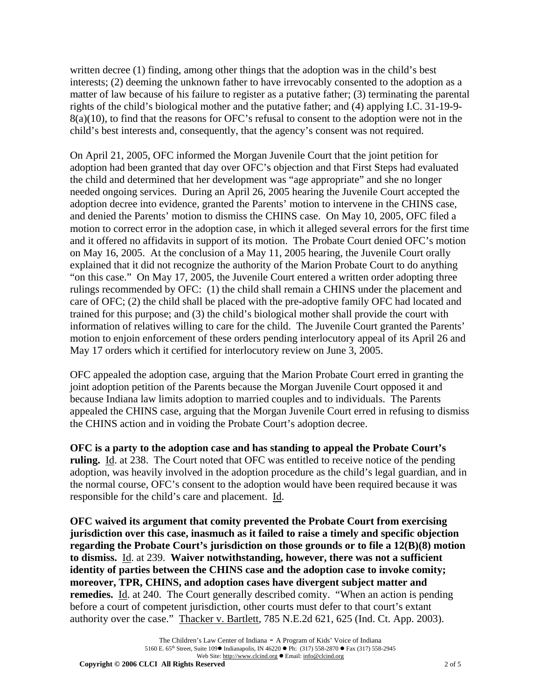written decree (1) finding, among other things that the adoption was in the child's best interests; (2) deeming the unknown father to have irrevocably consented to the adoption as a matter of law because of his failure to register as a putative father; (3) terminating the parental rights of the child's biological mother and the putative father; and (4) applying I.C. 31-19-9- 8(a)(10), to find that the reasons for OFC's refusal to consent to the adoption were not in the child's best interests and, consequently, that the agency's consent was not required.

On April 21, 2005, OFC informed the Morgan Juvenile Court that the joint petition for adoption had been granted that day over OFC's objection and that First Steps had evaluated the child and determined that her development was "age appropriate" and she no longer needed ongoing services. During an April 26, 2005 hearing the Juvenile Court accepted the adoption decree into evidence, granted the Parents' motion to intervene in the CHINS case, and denied the Parents' motion to dismiss the CHINS case. On May 10, 2005, OFC filed a motion to correct error in the adoption case, in which it alleged several errors for the first time and it offered no affidavits in support of its motion. The Probate Court denied OFC's motion on May 16, 2005. At the conclusion of a May 11, 2005 hearing, the Juvenile Court orally explained that it did not recognize the authority of the Marion Probate Court to do anything "on this case." On May 17, 2005, the Juvenile Court entered a written order adopting three rulings recommended by OFC: (1) the child shall remain a CHINS under the placement and care of OFC; (2) the child shall be placed with the pre-adoptive family OFC had located and trained for this purpose; and (3) the child's biological mother shall provide the court with information of relatives willing to care for the child. The Juvenile Court granted the Parents' motion to enjoin enforcement of these orders pending interlocutory appeal of its April 26 and May 17 orders which it certified for interlocutory review on June 3, 2005.

OFC appealed the adoption case, arguing that the Marion Probate Court erred in granting the joint adoption petition of the Parents because the Morgan Juvenile Court opposed it and because Indiana law limits adoption to married couples and to individuals. The Parents appealed the CHINS case, arguing that the Morgan Juvenile Court erred in refusing to dismiss the CHINS action and in voiding the Probate Court's adoption decree.

**OFC is a party to the adoption case and has standing to appeal the Probate Court's ruling.** Id. at 238. The Court noted that OFC was entitled to receive notice of the pending adoption, was heavily involved in the adoption procedure as the child's legal guardian, and in the normal course, OFC's consent to the adoption would have been required because it was responsible for the child's care and placement. Id.

**OFC waived its argument that comity prevented the Probate Court from exercising jurisdiction over this case, inasmuch as it failed to raise a timely and specific objection regarding the Probate Court's jurisdiction on those grounds or to file a 12(B)(8) motion to dismiss.** Id. at 239. **Waiver notwithstanding, however, there was not a sufficient identity of parties between the CHINS case and the adoption case to invoke comity; moreover, TPR, CHINS, and adoption cases have divergent subject matter and remedies.** Id. at 240. The Court generally described comity. "When an action is pending before a court of competent jurisdiction, other courts must defer to that court's extant authority over the case." Thacker v. Bartlett, 785 N.E.2d 621, 625 (Ind. Ct. App. 2003).

**Copyright © 2006 CLCI All Rights Reserved** 2 of 5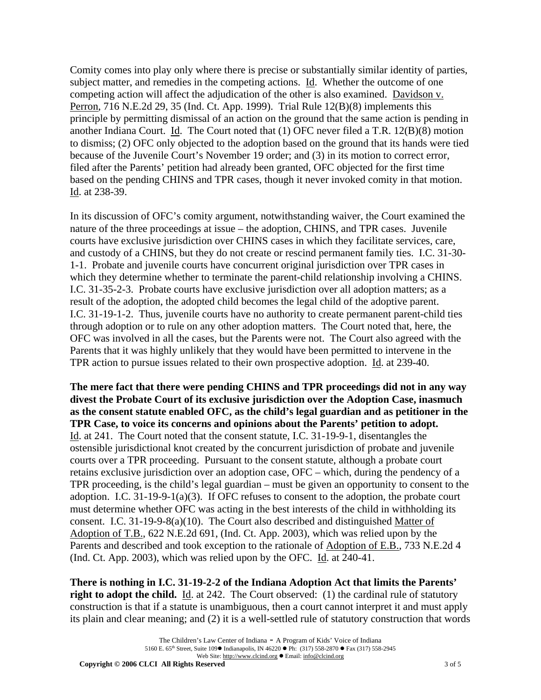Comity comes into play only where there is precise or substantially similar identity of parties, subject matter, and remedies in the competing actions. Id. Whether the outcome of one competing action will affect the adjudication of the other is also examined. Davidson v. Perron, 716 N.E.2d 29, 35 (Ind. Ct. App. 1999). Trial Rule 12(B)(8) implements this principle by permitting dismissal of an action on the ground that the same action is pending in another Indiana Court. Id. The Court noted that (1) OFC never filed a T.R. 12(B)(8) motion to dismiss; (2) OFC only objected to the adoption based on the ground that its hands were tied because of the Juvenile Court's November 19 order; and (3) in its motion to correct error, filed after the Parents' petition had already been granted, OFC objected for the first time based on the pending CHINS and TPR cases, though it never invoked comity in that motion. Id. at 238-39.

In its discussion of OFC's comity argument, notwithstanding waiver, the Court examined the nature of the three proceedings at issue – the adoption, CHINS, and TPR cases. Juvenile courts have exclusive jurisdiction over CHINS cases in which they facilitate services, care, and custody of a CHINS, but they do not create or rescind permanent family ties. I.C. 31-30- 1-1. Probate and juvenile courts have concurrent original jurisdiction over TPR cases in which they determine whether to terminate the parent-child relationship involving a CHINS. I.C. 31-35-2-3. Probate courts have exclusive jurisdiction over all adoption matters; as a result of the adoption, the adopted child becomes the legal child of the adoptive parent. I.C. 31-19-1-2. Thus, juvenile courts have no authority to create permanent parent-child ties through adoption or to rule on any other adoption matters. The Court noted that, here, the OFC was involved in all the cases, but the Parents were not. The Court also agreed with the Parents that it was highly unlikely that they would have been permitted to intervene in the TPR action to pursue issues related to their own prospective adoption. Id. at 239-40.

**The mere fact that there were pending CHINS and TPR proceedings did not in any way divest the Probate Court of its exclusive jurisdiction over the Adoption Case, inasmuch as the consent statute enabled OFC, as the child's legal guardian and as petitioner in the TPR Case, to voice its concerns and opinions about the Parents' petition to adopt.**  Id. at 241. The Court noted that the consent statute, I.C. 31-19-9-1, disentangles the ostensible jurisdictional knot created by the concurrent jurisdiction of probate and juvenile courts over a TPR proceeding. Pursuant to the consent statute, although a probate court retains exclusive jurisdiction over an adoption case, OFC – which, during the pendency of a TPR proceeding, is the child's legal guardian – must be given an opportunity to consent to the adoption. I.C.  $31-19-9-1(a)(3)$ . If OFC refuses to consent to the adoption, the probate court must determine whether OFC was acting in the best interests of the child in withholding its consent. I.C. 31-19-9-8(a)(10). The Court also described and distinguished Matter of Adoption of T.B., 622 N.E.2d 691, (Ind. Ct. App. 2003), which was relied upon by the Parents and described and took exception to the rationale of Adoption of E.B., 733 N.E.2d 4 (Ind. Ct. App. 2003), which was relied upon by the OFC. Id. at 240-41.

**There is nothing in I.C. 31-19-2-2 of the Indiana Adoption Act that limits the Parents' right to adopt the child.** Id. at 242. The Court observed: (1) the cardinal rule of statutory construction is that if a statute is unambiguous, then a court cannot interpret it and must apply its plain and clear meaning; and (2) it is a well-settled rule of statutory construction that words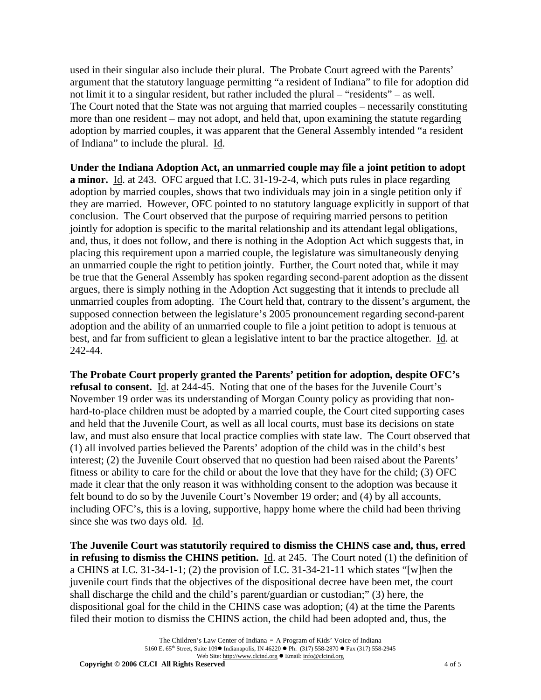used in their singular also include their plural. The Probate Court agreed with the Parents' argument that the statutory language permitting "a resident of Indiana" to file for adoption did not limit it to a singular resident, but rather included the plural – "residents" – as well. The Court noted that the State was not arguing that married couples – necessarily constituting more than one resident – may not adopt, and held that, upon examining the statute regarding adoption by married couples, it was apparent that the General Assembly intended "a resident of Indiana" to include the plural. Id.

**Under the Indiana Adoption Act, an unmarried couple may file a joint petition to adopt a minor.** Id. at 243. OFC argued that I.C. 31-19-2-4, which puts rules in place regarding adoption by married couples, shows that two individuals may join in a single petition only if they are married. However, OFC pointed to no statutory language explicitly in support of that conclusion. The Court observed that the purpose of requiring married persons to petition jointly for adoption is specific to the marital relationship and its attendant legal obligations, and, thus, it does not follow, and there is nothing in the Adoption Act which suggests that, in placing this requirement upon a married couple, the legislature was simultaneously denying an unmarried couple the right to petition jointly. Further, the Court noted that, while it may be true that the General Assembly has spoken regarding second-parent adoption as the dissent argues, there is simply nothing in the Adoption Act suggesting that it intends to preclude all unmarried couples from adopting. The Court held that, contrary to the dissent's argument, the supposed connection between the legislature's 2005 pronouncement regarding second-parent adoption and the ability of an unmarried couple to file a joint petition to adopt is tenuous at best, and far from sufficient to glean a legislative intent to bar the practice altogether. Id. at 242-44.

**The Probate Court properly granted the Parents' petition for adoption, despite OFC's refusal to consent.** Id. at 244-45. Noting that one of the bases for the Juvenile Court's November 19 order was its understanding of Morgan County policy as providing that nonhard-to-place children must be adopted by a married couple, the Court cited supporting cases and held that the Juvenile Court, as well as all local courts, must base its decisions on state law, and must also ensure that local practice complies with state law. The Court observed that (1) all involved parties believed the Parents' adoption of the child was in the child's best interest; (2) the Juvenile Court observed that no question had been raised about the Parents' fitness or ability to care for the child or about the love that they have for the child; (3) OFC made it clear that the only reason it was withholding consent to the adoption was because it felt bound to do so by the Juvenile Court's November 19 order; and (4) by all accounts, including OFC's, this is a loving, supportive, happy home where the child had been thriving since she was two days old. Id.

**The Juvenile Court was statutorily required to dismiss the CHINS case and, thus, erred in refusing to dismiss the CHINS petition.** Id. at 245. The Court noted (1) the definition of a CHINS at I.C. 31-34-1-1; (2) the provision of I.C. 31-34-21-11 which states "[w]hen the juvenile court finds that the objectives of the dispositional decree have been met, the court shall discharge the child and the child's parent/guardian or custodian;" (3) here, the dispositional goal for the child in the CHINS case was adoption; (4) at the time the Parents filed their motion to dismiss the CHINS action, the child had been adopted and, thus, the

**Copyright © 2006 CLCI All Rights Reserved** 4 of 5